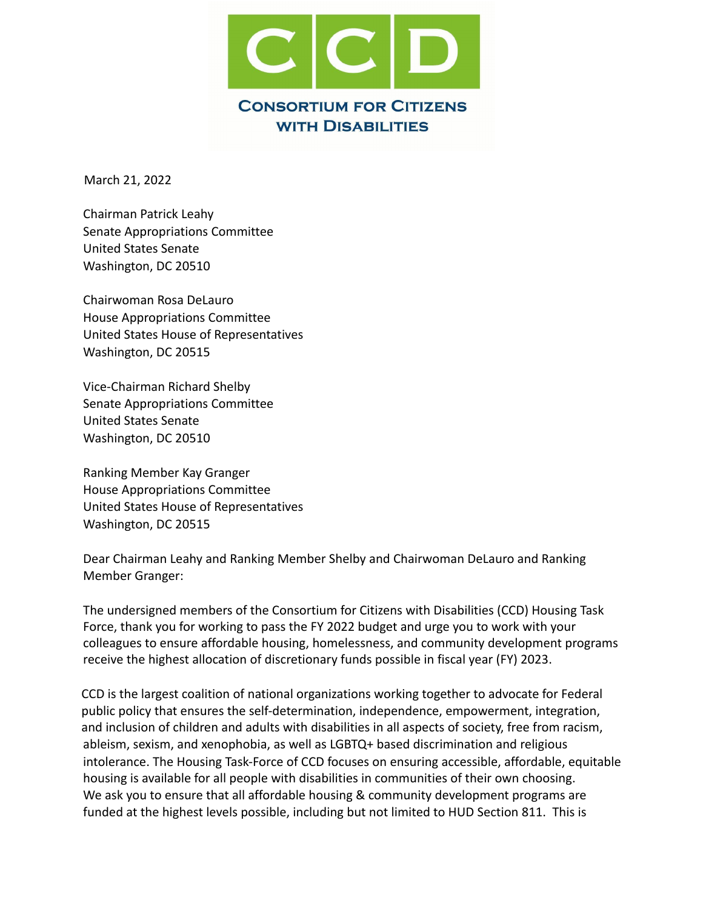

March 21, 2022

Chairman Patrick Leahy Senate Appropriations Committee United States Senate Washington, DC 20510

Chairwoman Rosa DeLauro House Appropriations Committee United States House of Representatives Washington, DC 20515

Vice-Chairman Richard Shelby Senate Appropriations Committee United States Senate Washington, DC 20510

Ranking Member Kay Granger House Appropriations Committee United States House of Representatives Washington, DC 20515

Dear Chairman Leahy and Ranking Member Shelby and Chairwoman DeLauro and Ranking Member Granger:

The undersigned members of the Consortium for Citizens with Disabilities (CCD) Housing Task Force, thank you for working to pass the FY 2022 budget and urge you to work with your colleagues to ensure affordable housing, homelessness, and community development programs receive the highest allocation of discretionary funds possible in fiscal year (FY) 2023.

CCD is the largest coalition of national organizations working together to advocate for Federal public policy that ensures the self-determination, independence, empowerment, integration, and inclusion of children and adults with disabilities in all aspects of society, free from racism, ableism, sexism, and xenophobia, as well as LGBTQ+ based discrimination and religious intolerance. The Housing Task-Force of CCD focuses on ensuring accessible, affordable, equitable housing is available for all people with disabilities in communities of their own choosing. We ask you to ensure that all affordable housing & community development programs are funded at the highest levels possible, including but not limited to HUD Section 811. This is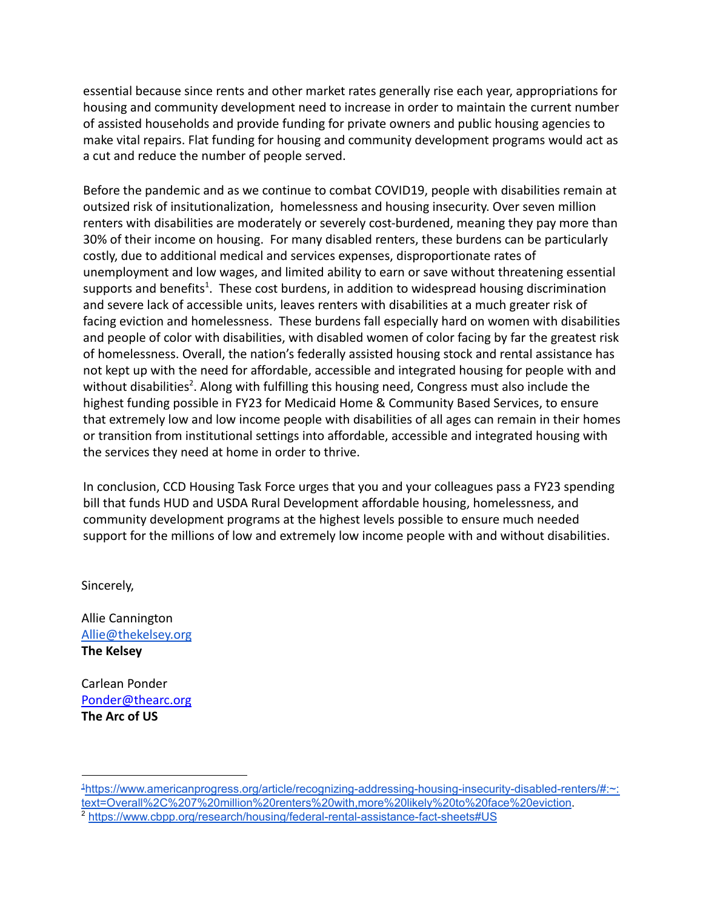essential because since rents and other market rates generally rise each year, appropriations for housing and community development need to increase in order to maintain the current number of assisted households and provide funding for private owners and public housing agencies to make vital repairs. Flat funding for housing and community development programs would act as a cut and reduce the number of people served.

Before the pandemic and as we continue to combat COVID19, people with disabilities remain at outsized risk of insitutionalization, homelessness and housing insecurity. Over seven million renters with disabilities are moderately or severely cost-burdened, meaning they pay more than 30% of their income on housing. For many disabled renters, these burdens can be particularly costly, due to additional medical and services expenses, disproportionate rates of unemployment and low wages, and limited ability to earn or save without threatening essential supports and benefits<sup>1</sup>. These cost burdens, in addition to widespread housing discrimination and severe lack of accessible units, leaves renters with disabilities at a much greater risk of facing eviction and homelessness. These burdens fall especially hard on women with disabilities and people of color with disabilities, with disabled women of color facing by far the greatest risk of homelessness. Overall, the nation's federally assisted housing stock and rental assistance has not kept up with the need for affordable, accessible and integrated housing for people with and without disabilities<sup>2</sup>. Along with fulfilling this housing need, Congress must also include the highest funding possible in FY23 for Medicaid Home & Community Based Services, to ensure that extremely low and low income people with disabilities of all ages can remain in their homes or transition from institutional settings into affordable, accessible and integrated housing with the services they need at home in order to thrive.

In conclusion, CCD Housing Task Force urges that you and your colleagues pass a FY23 spending bill that funds HUD and USDA Rural Development affordable housing, homelessness, and community development programs at the highest levels possible to ensure much needed support for the millions of low and extremely low income people with and without disabilities.

Sincerely,

Allie Cannington [Allie@thekelsey.org](mailto:Allie@thekelsey.org) **The Kelsey**

Carlean Ponder [Ponder@thearc.org](mailto:Ponder@thearc.org) **The Arc of US**

<sup>&</sup>lt;sup>2</sup> <https://www.cbpp.org/research/housing/federal-rental-assistance-fact-sheets#US> <sup>1</sup>[https://www.americanprogress.org/article/recognizing-addressing-housing-insecurity-disabled-renters/#:~:](https://www.americanprogress.org/article/recognizing-addressing-housing-insecurity-disabled-renters/#:~:text=Overall%2C%207%20million%20renters%20with,more%20likely%20to%20face%20eviction) [text=Overall%2C%207%20million%20renters%20with,more%20likely%20to%20face%20eviction.](https://www.americanprogress.org/article/recognizing-addressing-housing-insecurity-disabled-renters/#:~:text=Overall%2C%207%20million%20renters%20with,more%20likely%20to%20face%20eviction)